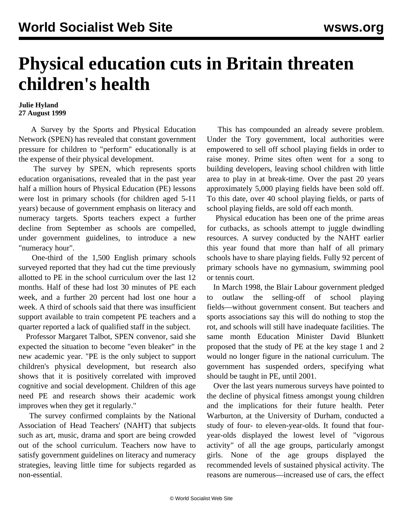## **Physical education cuts in Britain threaten children's health**

## **Julie Hyland 27 August 1999**

 A Survey by the Sports and Physical Education Network (SPEN) has revealed that constant government pressure for children to "perform" educationally is at the expense of their physical development.

 The survey by SPEN, which represents sports education organisations, revealed that in the past year half a million hours of Physical Education (PE) lessons were lost in primary schools (for children aged 5-11 years) because of government emphasis on literacy and numeracy targets. Sports teachers expect a further decline from September as schools are compelled, under government guidelines, to introduce a new "numeracy hour".

 One-third of the 1,500 English primary schools surveyed reported that they had cut the time previously allotted to PE in the school curriculum over the last 12 months. Half of these had lost 30 minutes of PE each week, and a further 20 percent had lost one hour a week. A third of schools said that there was insufficient support available to train competent PE teachers and a quarter reported a lack of qualified staff in the subject.

 Professor Margaret Talbot, SPEN convenor, said she expected the situation to become "even bleaker" in the new academic year. "PE is the only subject to support children's physical development, but research also shows that it is positively correlated with improved cognitive and social development. Children of this age need PE and research shows their academic work improves when they get it regularly."

 The survey confirmed complaints by the National Association of Head Teachers' (NAHT) that subjects such as art, music, drama and sport are being crowded out of the school curriculum. Teachers now have to satisfy government guidelines on literacy and numeracy strategies, leaving little time for subjects regarded as non-essential.

 This has compounded an already severe problem. Under the Tory government, local authorities were empowered to sell off school playing fields in order to raise money. Prime sites often went for a song to building developers, leaving school children with little area to play in at break-time. Over the past 20 years approximately 5,000 playing fields have been sold off. To this date, over 40 school playing fields, or parts of school playing fields, are sold off each month.

 Physical education has been one of the prime areas for cutbacks, as schools attempt to juggle dwindling resources. A survey conducted by the NAHT earlier this year found that more than half of all primary schools have to share playing fields. Fully 92 percent of primary schools have no gymnasium, swimming pool or tennis court.

 In March 1998, the Blair Labour government pledged to outlaw the selling-off of school playing fields—without government consent. But teachers and sports associations say this will do nothing to stop the rot, and schools will still have inadequate facilities. The same month Education Minister David Blunkett proposed that the study of PE at the key stage 1 and 2 would no longer figure in the national curriculum. The government has suspended orders, specifying what should be taught in PE, until 2001.

 Over the last years numerous surveys have pointed to the decline of physical fitness amongst young children and the implications for their future health. Peter Warburton, at the University of Durham, conducted a study of four- to eleven-year-olds. It found that fouryear-olds displayed the lowest level of "vigorous activity" of all the age groups, particularly amongst girls. None of the age groups displayed the recommended levels of sustained physical activity. The reasons are numerous—increased use of cars, the effect